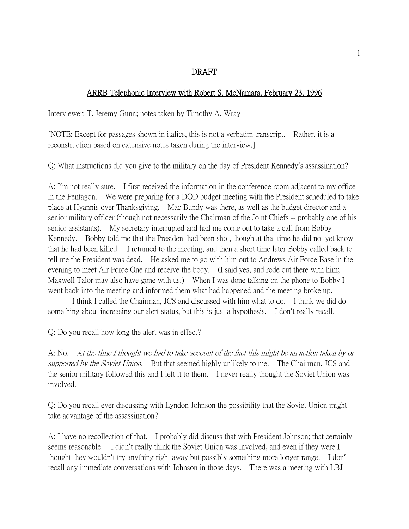## DRAFT

## ARRB Telephonic Interview with Robert S. McNamara, February 23, 1996

Interviewer: T. Jeremy Gunn; notes taken by Timothy A. Wray

[NOTE: Except for passages shown in italics, this is not a verbatim transcript. Rather, it is a reconstruction based on extensive notes taken during the interview.]

Q: What instructions did you give to the military on the day of President Kennedy's assassination?

A: I'm not really sure. I first received the information in the conference room adjacent to my office in the Pentagon. We were preparing for a DOD budget meeting with the President scheduled to take place at Hyannis over Thanksgiving. Mac Bundy was there, as well as the budget director and a senior military officer (though not necessarily the Chairman of the Joint Chiefs -- probably one of his senior assistants). My secretary interrupted and had me come out to take a call from Bobby Kennedy. Bobby told me that the President had been shot, though at that time he did not yet know that he had been killed. I returned to the meeting, and then a short time later Bobby called back to tell me the President was dead. He asked me to go with him out to Andrews Air Force Base in the evening to meet Air Force One and receive the body. (I said yes, and rode out there with him; Maxwell Talor may also have gone with us.) When I was done talking on the phone to Bobby I went back into the meeting and informed them what had happened and the meeting broke up.

I think I called the Chairman, JCS and discussed with him what to do. I think we did do something about increasing our alert status, but this is just a hypothesis. I don't really recall.

Q: Do you recall how long the alert was in effect?

A: No. At the time I thought we had to take account of the fact this might be an action taken by or supported by the Soviet Union. But that seemed highly unlikely to me. The Chairman, JCS and the senior military followed this and I left it to them. I never really thought the Soviet Union was involved.

Q: Do you recall ever discussing with Lyndon Johnson the possibility that the Soviet Union might take advantage of the assassination?

A: I have no recollection of that. I probably did discuss that with President Johnson; that certainly seems reasonable. I didn't really think the Soviet Union was involved, and even if they were I thought they wouldn't try anything right away but possibly something more longer range. I don't recall any immediate conversations with Johnson in those days. There was a meeting with LBJ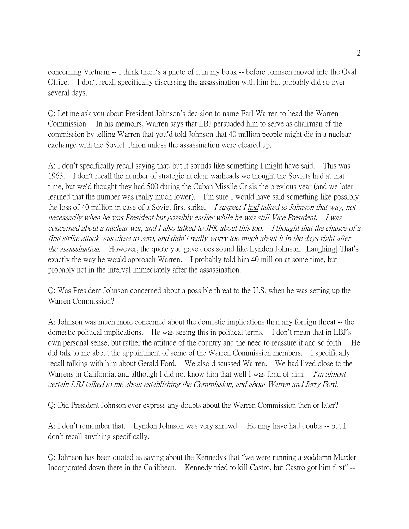concerning Vietnam -- I think there's a photo of it in my book -- before Johnson moved into the Oval Office. I don't recall specifically discussing the assassination with him but probably did so over several days.

Q: Let me ask you about President Johnson's decision to name Earl Warren to head the Warren Commission. In his memoirs, Warren says that LBJ persuaded him to serve as chairman of the commission by telling Warren that you'd told Johnson that 40 million people might die in a nuclear exchange with the Soviet Union unless the assassination were cleared up.

A: I don't specifically recall saying that, but it sounds like something I might have said. This was 1963. I don't recall the number of strategic nuclear warheads we thought the Soviets had at that time, but we'd thought they had 500 during the Cuban Missile Crisis the previous year (and we later learned that the number was really much lower). I'm sure I would have said something like possibly the loss of 40 million in case of a Soviet first strike. *I suspect I had talked to Johnson that way, not* necessarily when he was President but possibly earlier while he was still Vice President. I was concerned about a nuclear war, and I also talked to JFK about this too. I thought that the chance of a first strike attack was close to zero, and didn*'*t really worry too much about it in the days right after the assassination. However, the quote you gave does sound like Lyndon Johnson. [Laughing] That's exactly the way he would approach Warren. I probably told him 40 million at some time, but probably not in the interval immediately after the assassination.

Q: Was President Johnson concerned about a possible threat to the U.S. when he was setting up the Warren Commission?

A: Johnson was much more concerned about the domestic implications than any foreign threat -- the domestic political implications. He was seeing this in political terms. I don't mean that in LBJ's own personal sense, but rather the attitude of the country and the need to reassure it and so forth. He did talk to me about the appointment of some of the Warren Commission members. I specifically recall talking with him about Gerald Ford. We also discussed Warren. We had lived close to the Warrens in California, and although I did not know him that well I was fond of him. I'm almost certain LBJ talked to me about establishing the Commission, and about Warren and Jerry Ford.

Q: Did President Johnson ever express any doubts about the Warren Commission then or later?

A: I don't remember that. Lyndon Johnson was very shrewd. He may have had doubts -- but I don't recall anything specifically.

Q: Johnson has been quoted as saying about the Kennedys that "we were running a goddamn Murder Incorporated down there in the Caribbean. Kennedy tried to kill Castro, but Castro got him first" --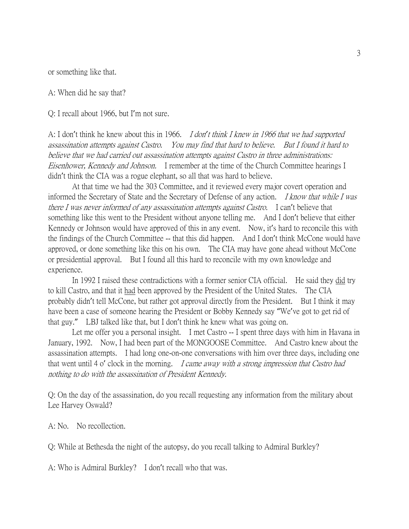or something like that.

A: When did he say that?

Q: I recall about 1966, but I'm not sure.

A: I don't think he knew about this in 1966. I don*'*t think I knew in 1966 that we had supported assassination attempts against Castro. You may find that hard to believe. But I found it hard to believe that we had carried out assassination attempts against Castro in three administrations: Eisenhower, Kennedy and Johnson. I remember at the time of the Church Committee hearings I didn't think the CIA was a rogue elephant, so all that was hard to believe.

At that time we had the 303 Committee, and it reviewed every major covert operation and informed the Secretary of State and the Secretary of Defense of any action. I know that while I was there I was never informed of any assassination attempts against Castro. I can't believe that something like this went to the President without anyone telling me. And I don't believe that either Kennedy or Johnson would have approved of this in any event. Now, it's hard to reconcile this with the findings of the Church Committee -- that this did happen. And I don't think McCone would have approved, or done something like this on his own. The CIA may have gone ahead without McCone or presidential approval. But I found all this hard to reconcile with my own knowledge and experience.

In 1992 I raised these contradictions with a former senior CIA official. He said they did try to kill Castro, and that it had been approved by the President of the United States. The CIA probably didn't tell McCone, but rather got approval directly from the President. But I think it may have been a case of someone hearing the President or Bobby Kennedy say "We've got to get rid of that guy." LBJ talked like that, but I don't think he knew what was going on.

Let me offer you a personal insight. I met Castro -- I spent three days with him in Havana in January, 1992. Now, I had been part of the MONGOOSE Committee. And Castro knew about the assassination attempts. I had long one-on-one conversations with him over three days, including one that went until 4 o' clock in the morning. *I came away with a strong impression that Castro had* nothing to do with the assassination of President Kennedy.

Q: On the day of the assassination, do you recall requesting any information from the military about Lee Harvey Oswald?

A: No. No recollection.

Q: While at Bethesda the night of the autopsy, do you recall talking to Admiral Burkley?

A: Who is Admiral Burkley? I don't recall who that was.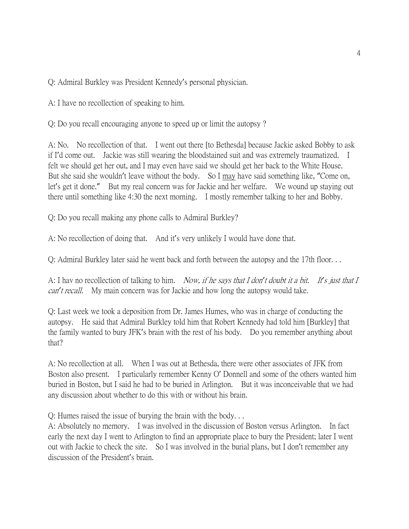Q: Admiral Burkley was President Kennedy's personal physician.

A: I have no recollection of speaking to him.

Q: Do you recall encouraging anyone to speed up or limit the autopsy ?

A: No. No recollection of that. I went out there [to Bethesda] because Jackie asked Bobby to ask if I'd come out. Jackie was still wearing the bloodstained suit and was extremely traumatized. I felt we should get her out, and I may even have said we should get her back to the White House. But she said she wouldn't leave without the body. So I may have said something like, "Come on, let's get it done." But my real concern was for Jackie and her welfare. We wound up staying out there until something like 4:30 the next morning. I mostly remember talking to her and Bobby.

Q: Do you recall making any phone calls to Admiral Burkley?

A: No recollection of doing that. And it's very unlikely I would have done that.

Q: Admiral Burkley later said he went back and forth between the autopsy and the 17th floor. . .

A: I hav no recollection of talking to him. Now, if he says that I don*'*t doubt it a bit. It*'*s just that I can*'*t recall. My main concern was for Jackie and how long the autopsy would take.

Q: Last week we took a deposition from Dr. James Humes, who was in charge of conducting the autopsy. He said that Admiral Burkley told him that Robert Kennedy had told him [Burkley] that the family wanted to bury JFK's brain with the rest of his body. Do you remember anything about that?

A: No recollection at all. When I was out at Bethesda, there were other associates of JFK from Boston also present. I particularly remember Kenny O' Donnell and some of the others wanted him buried in Boston, but I said he had to be buried in Arlington. But it was inconceivable that we had any discussion about whether to do this with or without his brain.

Q: Humes raised the issue of burying the brain with the body. . .

A: Absolutely no memory. I was involved in the discussion of Boston versus Arlington. In fact early the next day I went to Arlington to find an appropriate place to bury the President; later I went out with Jackie to check the site. So I was involved in the burial plans, but I don't remember any discussion of the President's brain.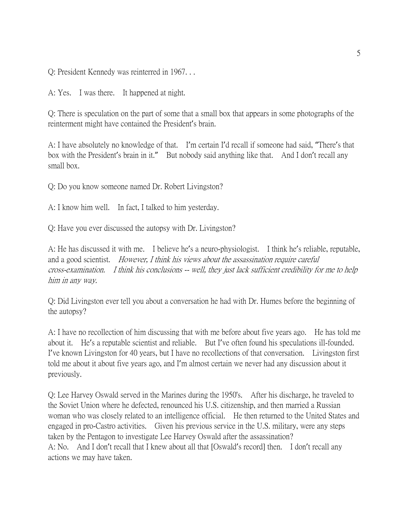Q: President Kennedy was reinterred in 1967. . .

A: Yes. I was there. It happened at night.

Q: There is speculation on the part of some that a small box that appears in some photographs of the reinterment might have contained the President's brain.

A: I have absolutely no knowledge of that. I'm certain I'd recall if someone had said, "There's that box with the President's brain in it." But nobody said anything like that. And I don't recall any small box.

Q: Do you know someone named Dr. Robert Livingston?

A: I know him well. In fact, I talked to him yesterday.

Q: Have you ever discussed the autopsy with Dr. Livingston?

A: He has discussed it with me. I believe he's a neuro-physiologist. I think he's reliable, reputable, and a good scientist. *However, I think his views about the assassination require careful* cross-examination. I think his conclusions -- well, they just lack sufficient credibility for me to help him in any way.

Q: Did Livingston ever tell you about a conversation he had with Dr. Humes before the beginning of the autopsy?

A: I have no recollection of him discussing that with me before about five years ago. He has told me about it. He's a reputable scientist and reliable. But I've often found his speculations ill-founded. I've known Livingston for 40 years, but I have no recollections of that conversation. Livingston first told me about it about five years ago, and I'm almost certain we never had any discussion about it previously.

Q: Lee Harvey Oswald served in the Marines during the 1950's. After his discharge, he traveled to the Soviet Union where he defected, renounced his U.S. citizenship, and then married a Russian woman who was closely related to an intelligence official. He then returned to the United States and engaged in pro-Castro activities. Given his previous service in the U.S. military, were any steps taken by the Pentagon to investigate Lee Harvey Oswald after the assassination? A: No. And I don't recall that I knew about all that [Oswald's record] then. I don't recall any actions we may have taken.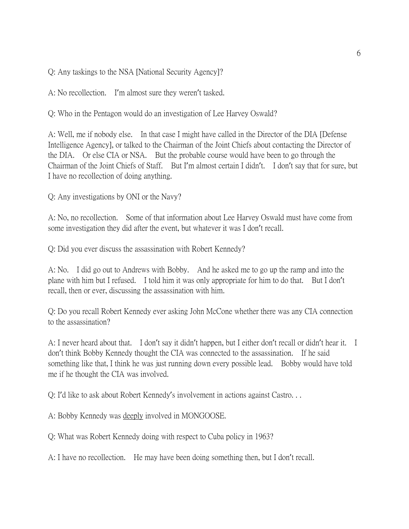Q: Any taskings to the NSA [National Security Agency]?

A: No recollection. I'm almost sure they weren't tasked.

Q: Who in the Pentagon would do an investigation of Lee Harvey Oswald?

A: Well, me if nobody else. In that case I might have called in the Director of the DIA [Defense Intelligence Agency], or talked to the Chairman of the Joint Chiefs about contacting the Director of the DIA. Or else CIA or NSA. But the probable course would have been to go through the Chairman of the Joint Chiefs of Staff. But I'm almost certain I didn't. I don't say that for sure, but I have no recollection of doing anything.

Q: Any investigations by ONI or the Navy?

A: No, no recollection. Some of that information about Lee Harvey Oswald must have come from some investigation they did after the event, but whatever it was I don't recall.

Q: Did you ever discuss the assassination with Robert Kennedy?

A: No. I did go out to Andrews with Bobby. And he asked me to go up the ramp and into the plane with him but I refused. I told him it was only appropriate for him to do that. But I don't recall, then or ever, discussing the assassination with him.

Q: Do you recall Robert Kennedy ever asking John McCone whether there was any CIA connection to the assassination?

A: I never heard about that. I don't say it didn't happen, but I either don't recall or didn't hear it. I don't think Bobby Kennedy thought the CIA was connected to the assassination. If he said something like that, I think he was just running down every possible lead. Bobby would have told me if he thought the CIA was involved.

Q: I'd like to ask about Robert Kennedy's involvement in actions against Castro. . .

A: Bobby Kennedy was deeply involved in MONGOOSE.

Q: What was Robert Kennedy doing with respect to Cuba policy in 1963?

A: I have no recollection. He may have been doing something then, but I don't recall.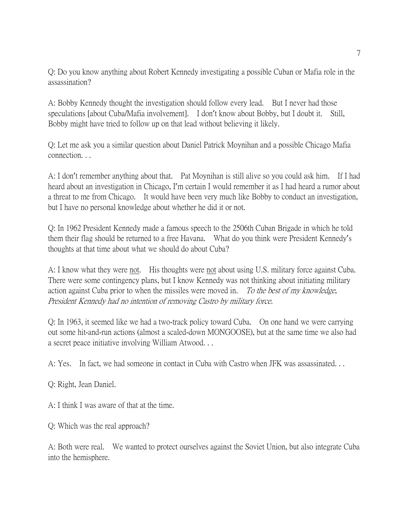Q: Do you know anything about Robert Kennedy investigating a possible Cuban or Mafia role in the assassination?

A: Bobby Kennedy thought the investigation should follow every lead. But I never had those speculations [about Cuba/Mafia involvement]. I don't know about Bobby, but I doubt it. Still, Bobby might have tried to follow up on that lead without believing it likely.

Q: Let me ask you a similar question about Daniel Patrick Moynihan and a possible Chicago Mafia connection. . .

A: I don't remember anything about that. Pat Moynihan is still alive so you could ask him. If I had heard about an investigation in Chicago, I'm certain I would remember it as I had heard a rumor about a threat to me from Chicago. It would have been very much like Bobby to conduct an investigation, but I have no personal knowledge about whether he did it or not.

Q: In 1962 President Kennedy made a famous speech to the 2506th Cuban Brigade in which he told them their flag should be returned to a free Havana. What do you think were President Kennedy's thoughts at that time about what we should do about Cuba?

A: I know what they were not. His thoughts were not about using U.S. military force against Cuba. There were some contingency plans, but I know Kennedy was not thinking about initiating military action against Cuba prior to when the missiles were moved in. To the best of my knowledge, President Kennedy had no intention of removing Castro by military force.

Q: In 1963, it seemed like we had a two-track policy toward Cuba. On one hand we were carrying out some hit-and-run actions (almost a scaled-down MONGOOSE), but at the same time we also had a secret peace initiative involving William Atwood. . .

A: Yes. In fact, we had someone in contact in Cuba with Castro when JFK was assassinated. . .

Q: Right, Jean Daniel.

A: I think I was aware of that at the time.

Q: Which was the real approach?

A: Both were real. We wanted to protect ourselves against the Soviet Union, but also integrate Cuba into the hemisphere.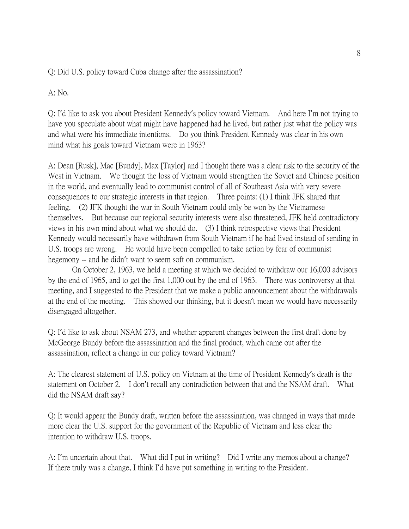## Q: Did U.S. policy toward Cuba change after the assassination?

A: No.

Q: I'd like to ask you about President Kennedy's policy toward Vietnam. And here I'm not trying to have you speculate about what might have happened had he lived, but rather just what the policy was and what were his immediate intentions. Do you think President Kennedy was clear in his own mind what his goals toward Vietnam were in 1963?

A: Dean [Rusk], Mac [Bundy], Max [Taylor] and I thought there was a clear risk to the security of the West in Vietnam. We thought the loss of Vietnam would strengthen the Soviet and Chinese position in the world, and eventually lead to communist control of all of Southeast Asia with very severe consequences to our strategic interests in that region. Three points: (1) I think JFK shared that feeling. (2) JFK thought the war in South Vietnam could only be won by the Vietnamese themselves. But because our regional security interests were also threatened, JFK held contradictory views in his own mind about what we should do. (3) I think retrospective views that President Kennedy would necessarily have withdrawn from South Vietnam if he had lived instead of sending in U.S. troops are wrong. He would have been compelled to take action by fear of communist hegemony -- and he didn't want to seem soft on communism.

On October 2, 1963, we held a meeting at which we decided to withdraw our 16,000 advisors by the end of 1965, and to get the first 1,000 out by the end of 1963. There was controversy at that meeting, and I suggested to the President that we make a public announcement about the withdrawals at the end of the meeting. This showed our thinking, but it doesn't mean we would have necessarily disengaged altogether.

Q: I'd like to ask about NSAM 273, and whether apparent changes between the first draft done by McGeorge Bundy before the assassination and the final product, which came out after the assassination, reflect a change in our policy toward Vietnam?

A: The clearest statement of U.S. policy on Vietnam at the time of President Kennedy's death is the statement on October 2. I don't recall any contradiction between that and the NSAM draft. What did the NSAM draft say?

Q: It would appear the Bundy draft, written before the assassination, was changed in ways that made more clear the U.S. support for the government of the Republic of Vietnam and less clear the intention to withdraw U.S. troops.

A: I'm uncertain about that. What did I put in writing? Did I write any memos about a change? If there truly was a change, I think I'd have put something in writing to the President.